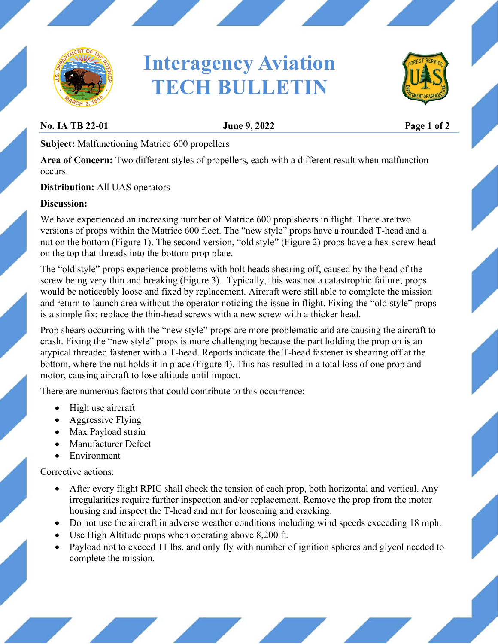

# **Interagency Aviation TECH BULLETIN**



### **No. IA TB 22-01 June 9, 2022 Page 1 of 2**

**Subject:** Malfunctioning Matrice 600 propellers

**Area of Concern:** Two different styles of propellers, each with a different result when malfunction occurs.

**Distribution:** All UAS operators

#### **Discussion:**

We have experienced an increasing number of Matrice 600 prop shears in flight. There are two versions of props within the Matrice 600 fleet. The "new style" props have a rounded T-head and a nut on the bottom (Figure 1). The second version, "old style" (Figure 2) props have a hex-screw head on the top that threads into the bottom prop plate.

The "old style" props experience problems with bolt heads shearing off, caused by the head of the screw being very thin and breaking (Figure 3). Typically, this was not a catastrophic failure; props would be noticeably loose and fixed by replacement. Aircraft were still able to complete the mission and return to launch area without the operator noticing the issue in flight. Fixing the "old style" props is a simple fix: replace the thin-head screws with a new screw with a thicker head.

Prop shears occurring with the "new style" props are more problematic and are causing the aircraft to crash. Fixing the "new style" props is more challenging because the part holding the prop on is an atypical threaded fastener with a T-head. Reports indicate the T-head fastener is shearing off at the bottom, where the nut holds it in place (Figure 4). This has resulted in a total loss of one prop and motor, causing aircraft to lose altitude until impact.

There are numerous factors that could contribute to this occurrence:

- High use aircraft
- Aggressive Flying
- Max Payload strain
- Manufacturer Defect
- Environment

Corrective actions:

- After every flight RPIC shall check the tension of each prop, both horizontal and vertical. Any irregularities require further inspection and/or replacement. Remove the prop from the motor housing and inspect the T-head and nut for loosening and cracking.
- Do not use the aircraft in adverse weather conditions including wind speeds exceeding 18 mph.
- Use High Altitude props when operating above 8,200 ft.
- Payload not to exceed 11 lbs. and only fly with number of ignition spheres and glycol needed to complete the mission.